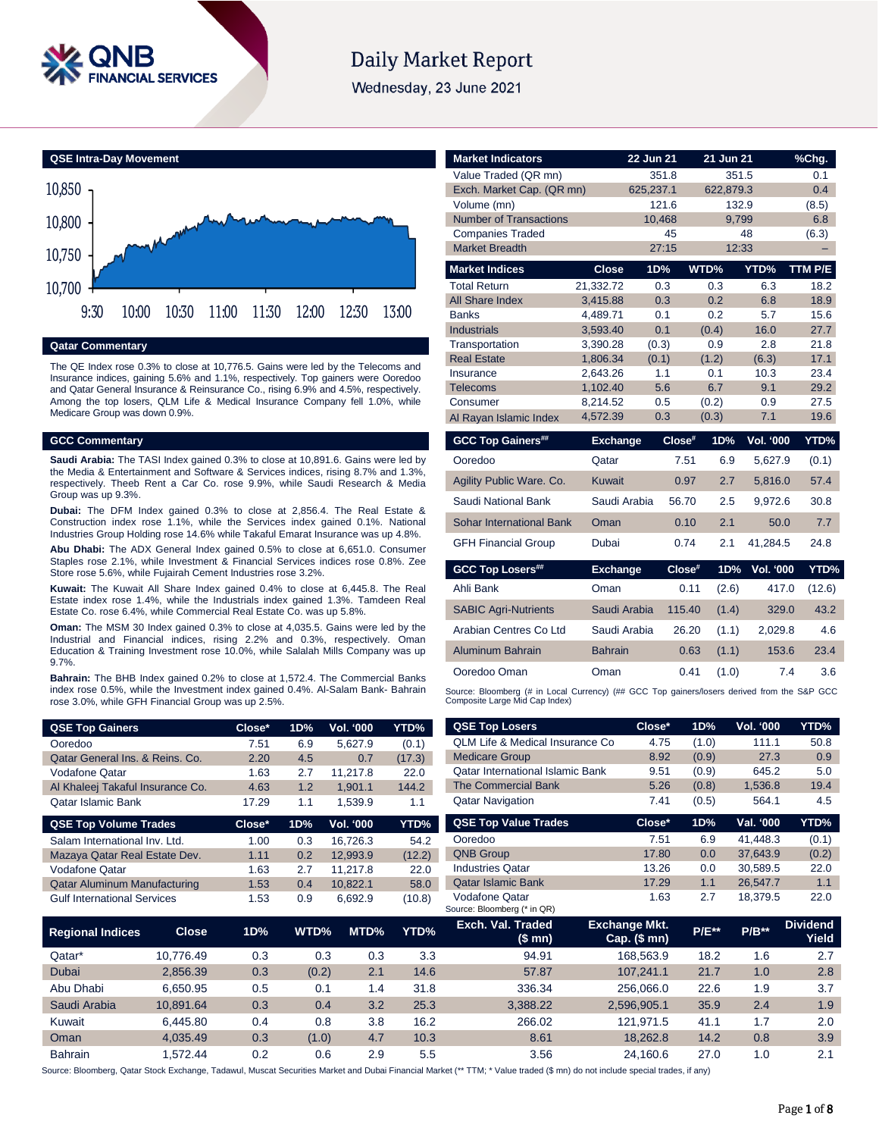

# **Daily Market Report**

Wednesday, 23 June 2021



# **Qatar Commentary**

The QE Index rose 0.3% to close at 10,776.5. Gains were led by the Telecoms and Insurance indices, gaining 5.6% and 1.1%, respectively. Top gainers were Ooredoo and Qatar General Insurance & Reinsurance Co., rising 6.9% and 4.5%, respectively. Among the top losers, QLM Life & Medical Insurance Company fell 1.0%, while Medicare Group was down 0.9%.

# **GCC Commentary**

**Saudi Arabia:** The TASI Index gained 0.3% to close at 10,891.6. Gains were led by the Media & Entertainment and Software & Services indices, rising 8.7% and 1.3%, respectively. Theeb Rent a Car Co. rose 9.9%, while Saudi Research & Media Group was up 9.3%.

**Dubai:** The DFM Index gained 0.3% to close at 2,856.4. The Real Estate & Construction index rose 1.1%, while the Services index gained 0.1%. National Industries Group Holding rose 14.6% while Takaful Emarat Insurance was up 4.8%.

**Abu Dhabi:** The ADX General Index gained 0.5% to close at 6,651.0. Consumer Staples rose 2.1%, while Investment & Financial Services indices rose 0.8%. Zee Store rose 5.6%, while Fujairah Cement Industries rose 3.2%.

**Kuwait:** The Kuwait All Share Index gained 0.4% to close at 6,445.8. The Real Estate index rose 1.4%, while the Industrials index gained 1.3%. Tamdeen Real Estate Co. rose 6.4%, while Commercial Real Estate Co. was up 5.8%.

**Oman:** The MSM 30 Index gained 0.3% to close at 4,035.5. Gains were led by the Industrial and Financial indices, rising 2.2% and 0.3%, respectively. Oman Education & Training Investment rose 10.0%, while Salalah Mills Company was up 9.7%.

**Bahrain:** The BHB Index gained 0.2% to close at 1,572.4. The Commercial Banks index rose 0.5%, while the Investment index gained 0.4%. Al-Salam Bank- Bahrain rose 3.0%, while GFH Financial Group was up 2.5%.

| <b>QSE Top Gainers</b>              | Close* | 1D% | Vol. '000 | <b>YTD%</b> |
|-------------------------------------|--------|-----|-----------|-------------|
| Ooredoo                             | 7.51   | 6.9 | 5,627.9   | (0.1)       |
| Qatar General Ins. & Reins. Co.     | 2.20   | 4.5 | 0.7       | (17.3)      |
| Vodafone Qatar                      | 1.63   | 2.7 | 11.217.8  | 22.0        |
| Al Khaleej Takaful Insurance Co.    | 4.63   | 1.2 | 1.901.1   | 144.2       |
| Qatar Islamic Bank                  | 17.29  | 1.1 | 1,539.9   | 1.1         |
|                                     |        |     |           |             |
| <b>QSE Top Volume Trades</b>        | Close* | 1D% | Vol. '000 | YTD%        |
| Salam International Inv. Ltd.       | 1.00   | 0.3 | 16.726.3  | 54.2        |
| Mazaya Qatar Real Estate Dev.       | 1.11   | 0.2 | 12,993.9  | (12.2)      |
| Vodafone Qatar                      | 1.63   | 2.7 | 11.217.8  | 22.0        |
| <b>Qatar Aluminum Manufacturing</b> | 1.53   | 0.4 | 10,822.1  | 58.0        |

| <b>Market Indicators</b>                                                                                                      |                      | 22 Jun 21  |           | 21 Jun 21 |                  | %Chg.   |
|-------------------------------------------------------------------------------------------------------------------------------|----------------------|------------|-----------|-----------|------------------|---------|
| Value Traded (QR mn)                                                                                                          |                      | 351.8      |           | 351.5     |                  | 0.1     |
| Exch. Market Cap. (QR mn)                                                                                                     |                      | 625,237.1  |           | 622,879.3 |                  | 0.4     |
| Volume (mn)                                                                                                                   |                      | 121.6      |           | 132.9     |                  | (8.5)   |
| <b>Number of Transactions</b>                                                                                                 |                      | 10.468     |           | 9.799     |                  | 6.8     |
| <b>Companies Traded</b>                                                                                                       |                      |            | 45        |           | 48               | (6.3)   |
| <b>Market Breadth</b>                                                                                                         |                      | 27:15      |           | 12:33     |                  |         |
| <b>Market Indices</b>                                                                                                         | <b>Close</b>         | 1D%        |           | WTD%      | YTD%             | TTM P/E |
| <b>Total Return</b>                                                                                                           | 21,332.72            | 0.3        |           | 0.3       | 6.3              | 18.2    |
| All Share Index                                                                                                               | 3.415.88             | 0.3        |           | 0.2       | 6.8              | 18.9    |
| <b>Banks</b>                                                                                                                  | 4,489.71             | 0.1        |           | 0.2       | 5.7              | 15.6    |
| <b>Industrials</b>                                                                                                            | 3,593.40             | 0.1        |           | (0.4)     | 16.0             | 27.7    |
| Transportation                                                                                                                | 3,390.28             | (0.3)      |           | 0.9       | 2.8              | 21.8    |
| <b>Real Estate</b>                                                                                                            | 1,806.34             | (0.1)      |           | (1.2)     | (6.3)            | 17.1    |
| Insurance                                                                                                                     | 2.643.26             | 1.1        |           | 0.1       | 10.3             | 23.4    |
| <b>Telecoms</b>                                                                                                               | 1,102.40             | 5.6        |           | 6.7       | 9.1              | 29.2    |
| Consumer                                                                                                                      | 8.214.52<br>4,572.39 | 0.5<br>0.3 |           | (0.2)     | 0.9<br>7.1       | 27.5    |
| Al Rayan Islamic Index                                                                                                        |                      |            |           | (0.3)     |                  | 19.6    |
|                                                                                                                               |                      |            |           |           |                  |         |
| <b>GCC Top Gainers##</b>                                                                                                      | <b>Exchange</b>      |            | Close#    | 1D%       | <b>Vol. '000</b> | YTD%    |
| Ooredoo                                                                                                                       | Qatar                |            | 7.51      | 6.9       | 5,627.9          | (0.1)   |
| Agility Public Ware. Co.                                                                                                      | <b>Kuwait</b>        |            | 0.97      | 2.7       | 5,816.0          | 57.4    |
| Saudi National Bank                                                                                                           | Saudi Arabia         |            | 56.70     | 2.5       | 9,972.6          | 30.8    |
| Sohar International Bank                                                                                                      | Oman                 |            | 0.10      | 2.1       | 50.0             | 7.7     |
| <b>GFH Financial Group</b>                                                                                                    | Dubai                |            | 0.74      | 2.1       | 41,284.5         | 24.8    |
| <b>GCC Top Losers##</b>                                                                                                       | <b>Exchange</b>      |            | $Close^*$ | 1D%       | <b>Vol. '000</b> | YTD%    |
| Ahli Bank                                                                                                                     | Oman                 |            | 0.11      | (2.6)     | 417.0            | (12.6)  |
| <b>SABIC Agri-Nutrients</b>                                                                                                   | Saudi Arabia         |            | 115.40    | (1.4)     | 329.0            | 43.2    |
| Arabian Centres Co Ltd                                                                                                        | Saudi Arabia         |            | 26.20     | (1.1)     | 2,029.8          | 4.6     |
| Aluminum Bahrain                                                                                                              | <b>Bahrain</b>       |            | 0.63      | (1.1)     | 153.6            | 23.4    |
| Ooredoo Oman                                                                                                                  | Oman                 |            | 0.41      | (1.0)     | 7.4              | 3.6     |
| Source: Bloomberg (# in Local Currency) (## GCC Top gainers/losers derived from the S&P GCC<br>Composite Large Mid Cap Index) |                      |            |           |           |                  |         |

| <b>QSE Top Gainers</b>              |              | Close* | 1D%   | Vol. '000        | YTD%   | <b>QSE Top Losers</b>                                                                                                                                                       | Close*                                 | 1D%     | Vol. '000 | YTD%                     |
|-------------------------------------|--------------|--------|-------|------------------|--------|-----------------------------------------------------------------------------------------------------------------------------------------------------------------------------|----------------------------------------|---------|-----------|--------------------------|
| Ooredoo                             |              | 7.51   | 6.9   | 5,627.9          | (0.1)  | QLM Life & Medical Insurance Co                                                                                                                                             | 4.75                                   | (1.0)   | 111.1     | 50.8                     |
| Qatar General Ins. & Reins. Co.     |              | 2.20   | 4.5   | 0.7              | (17.3) | <b>Medicare Group</b>                                                                                                                                                       | 8.92                                   | (0.9)   | 27.3      | 0.9                      |
| Vodafone Qatar                      |              | 1.63   | 2.7   | 11,217.8         | 22.0   | <b>Oatar International Islamic Bank</b>                                                                                                                                     | 9.51                                   | (0.9)   | 645.2     | 5.0                      |
| Al Khaleej Takaful Insurance Co.    |              | 4.63   | 1.2   | 1,901.1          | 144.2  | <b>The Commercial Bank</b>                                                                                                                                                  | 5.26                                   | (0.8)   | 1,536.8   | 19.4                     |
| Qatar Islamic Bank                  |              | 17.29  | 1.1   | 1,539.9          | 1.1    | <b>Qatar Navigation</b>                                                                                                                                                     | 7.41                                   | (0.5)   | 564.1     | 4.5                      |
| <b>QSE Top Volume Trades</b>        |              | Close* | 1D%   | <b>Vol. '000</b> | YTD%   | <b>QSE Top Value Trades</b>                                                                                                                                                 | Close*                                 | 1D%     | Val. '000 | YTD%                     |
| Salam International Inv. Ltd.       |              | 1.00   | 0.3   | 16,726.3         | 54.2   | Ooredoo                                                                                                                                                                     | 7.51                                   | 6.9     | 41,448.3  | (0.1)                    |
| Mazaya Qatar Real Estate Dev.       |              | 1.11   | 0.2   | 12,993.9         | (12.2) | <b>QNB Group</b>                                                                                                                                                            | 17.80                                  | 0.0     | 37,643.9  | (0.2)                    |
| Vodafone Qatar                      |              | 1.63   | 2.7   | 11,217.8         | 22.0   | <b>Industries Qatar</b>                                                                                                                                                     | 13.26                                  | 0.0     | 30,589.5  | 22.0                     |
| <b>Qatar Aluminum Manufacturing</b> |              | 1.53   | 0.4   | 10,822.1         | 58.0   | <b>Qatar Islamic Bank</b>                                                                                                                                                   | 17.29                                  | 1.1     | 26,547.7  | 1.1                      |
| Gulf International Services         |              | 1.53   | 0.9   | 6,692.9          | (10.8) | <b>Vodafone Qatar</b><br>Source: Bloomberg (* in QR)                                                                                                                        | 1.63                                   | 2.7     | 18,379.5  | 22.0                     |
| <b>Regional Indices</b>             | <b>Close</b> | 1D%    | WTD%  | MTD%             | YTD%   | Exch. Val. Traded<br>(\$mn)                                                                                                                                                 | <b>Exchange Mkt.</b><br>$Cap.$ (\$ mn) | $P/E**$ | $P/B**$   | <b>Dividend</b><br>Yield |
| Qatar*                              | 10,776.49    | 0.3    | 0.3   | 0.3              | 3.3    | 94.91                                                                                                                                                                       | 168,563.9                              | 18.2    | 1.6       | 2.7                      |
| Dubai                               | 2,856.39     | 0.3    | (0.2) | 2.1              | 14.6   | 57.87                                                                                                                                                                       | 107,241.1                              | 21.7    | 1.0       | 2.8                      |
| Abu Dhabi                           | 6,650.95     | 0.5    | 0.1   | 1.4              | 31.8   | 336.34                                                                                                                                                                      | 256,066.0                              | 22.6    | 1.9       | 3.7                      |
| Saudi Arabia                        | 10,891.64    | 0.3    | 0.4   | 3.2              | 25.3   | 3,388.22                                                                                                                                                                    | 2,596,905.1                            | 35.9    | 2.4       | 1.9                      |
| Kuwait                              | 6,445.80     | 0.4    | 0.8   | 3.8              | 16.2   | 266.02                                                                                                                                                                      | 121,971.5                              | 41.1    | 1.7       | 2.0                      |
| Oman                                | 4,035.49     | 0.3    | (1.0) | 4.7              | 10.3   | 8.61                                                                                                                                                                        | 18,262.8                               | 14.2    | 0.8       | 3.9                      |
| Bahrain                             | 1,572.44     | 0.2    | 0.6   | 2.9              | 5.5    | 3.56                                                                                                                                                                        | 24,160.6                               | 27.0    | 1.0       | 2.1                      |
|                                     |              |        |       |                  |        | uurce: Bloomberg, Qatar Stock Exchange, Tadawul, Muscat Securities Market and Dubai Financial Market (** TTM; * Value traded (\$ mn) do not include special trades, if any) |                                        |         |           |                          |

Source: Bloomberg, Qatar Stock Exchange, Tadawul, Muscat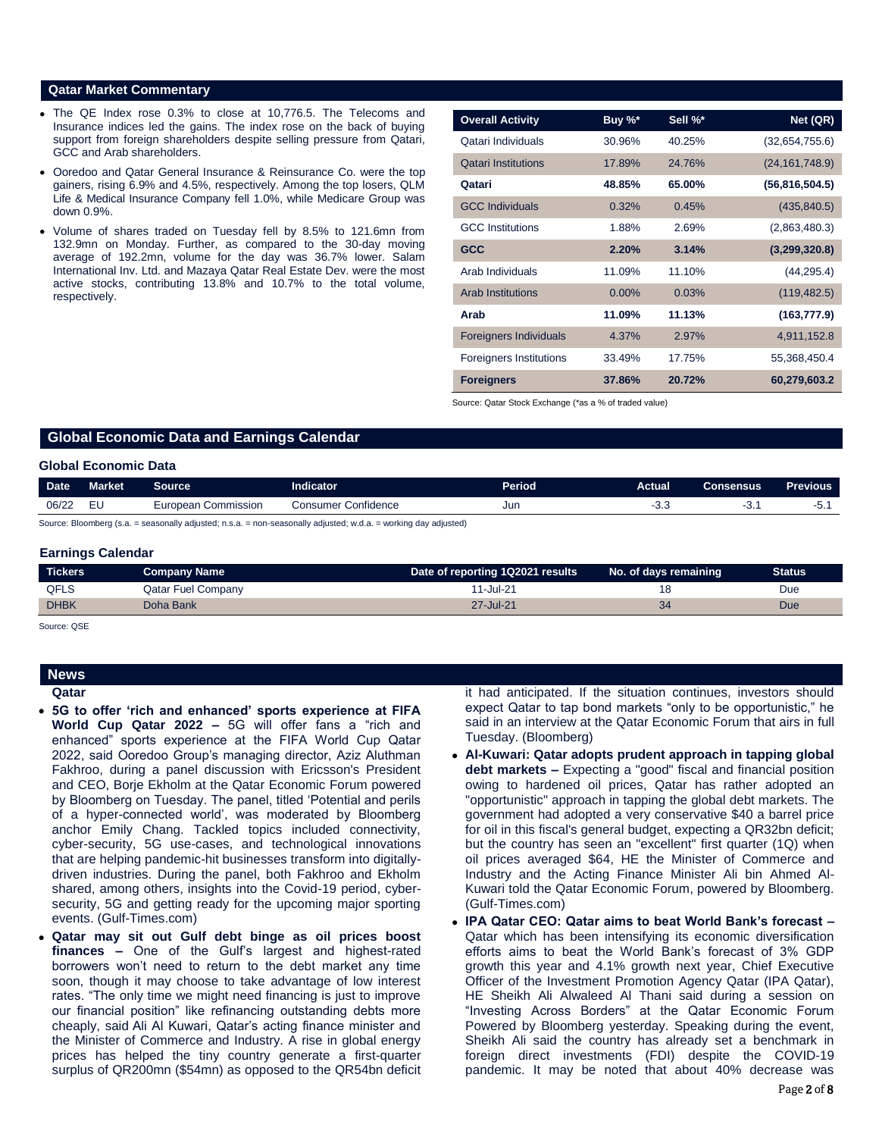# **Qatar Market Commentary**

- The QE Index rose 0.3% to close at 10,776.5. The Telecoms and Insurance indices led the gains. The index rose on the back of buying support from foreign shareholders despite selling pressure from Qatari, GCC and Arab shareholders.
- Ooredoo and Qatar General Insurance & Reinsurance Co. were the top gainers, rising 6.9% and 4.5%, respectively. Among the top losers, QLM Life & Medical Insurance Company fell 1.0%, while Medicare Group was down 0.9%.
- Volume of shares traded on Tuesday fell by 8.5% to 121.6mn from 132.9mn on Monday. Further, as compared to the 30-day moving average of 192.2mn, volume for the day was 36.7% lower. Salam International Inv. Ltd. and Mazaya Qatar Real Estate Dev. were the most active stocks, contributing 13.8% and 10.7% to the total volume, respectively.

| <b>Overall Activity</b>        | Buy %*   | Sell %* | Net (QR)         |
|--------------------------------|----------|---------|------------------|
| Qatari Individuals             | 30.96%   | 40.25%  | (32,654,755.6)   |
| <b>Qatari Institutions</b>     | 17.89%   | 24.76%  | (24, 161, 748.9) |
| Qatari                         | 48.85%   | 65.00%  | (56, 816, 504.5) |
| <b>GCC Individuals</b>         | 0.32%    | 0.45%   | (435, 840.5)     |
| <b>GCC</b> Institutions        | 1.88%    | 2.69%   | (2,863,480.3)    |
| <b>GCC</b>                     | 2.20%    | 3.14%   | (3,299,320.8)    |
| Arab Individuals               | 11.09%   | 11.10%  | (44, 295.4)      |
| <b>Arab Institutions</b>       | $0.00\%$ | 0.03%   | (119, 482.5)     |
| Arab                           | 11.09%   | 11.13%  | (163, 777.9)     |
| <b>Foreigners Individuals</b>  | 4.37%    | 2.97%   | 4,911,152.8      |
| <b>Foreigners Institutions</b> | 33.49%   | 17.75%  | 55,368,450.4     |
| <b>Foreigners</b>              | 37.86%   | 20.72%  | 60,279,603.2     |

Source: Qatar Stock Exchange (\*as a % of traded value)

# **Global Economic Data and Earnings Calendar**

# **Global Economic Data**

| <b>Date</b> | <b>Market</b> | Source                         | Indicator              | Period | Actual | Consensus | <b>Previous</b> |
|-------------|---------------|--------------------------------|------------------------|--------|--------|-----------|-----------------|
| 06/22       |               | Commission<br><i>E</i> uropean | Confidence<br>:onsumer | Jur    | ◡.     | U.        | v.              |

Source: Bloomberg (s.a. = seasonally adjusted; n.s.a. = non-seasonally adjusted; w.d.a. = working day adjusted)

### **Earnings Calendar**

| <b>Tickers</b> | Company Name              | Date of reporting 1Q2021 results | No. of days remaining | <b>Status</b> |
|----------------|---------------------------|----------------------------------|-----------------------|---------------|
| <b>QFLS</b>    | <b>Qatar Fuel Company</b> | 1-Jul-21                         |                       | Due           |
| <b>DHBK</b>    | Doha Bank                 | 27-Jul-21                        |                       | Due           |

Source: QSE

# **News Qatar**

- **5G to offer 'rich and enhanced' sports experience at FIFA World Cup Qatar 2022 –** 5G will offer fans a "rich and enhanced" sports experience at the FIFA World Cup Qatar 2022, said Ooredoo Group's managing director, Aziz Aluthman Fakhroo, during a panel discussion with Ericsson's President and CEO, Borje Ekholm at the Qatar Economic Forum powered by Bloomberg on Tuesday. The panel, titled 'Potential and perils of a hyper-connected world', was moderated by Bloomberg anchor Emily Chang. Tackled topics included connectivity, cyber-security, 5G use-cases, and technological innovations that are helping pandemic-hit businesses transform into digitallydriven industries. During the panel, both Fakhroo and Ekholm shared, among others, insights into the Covid-19 period, cybersecurity, 5G and getting ready for the upcoming major sporting events. (Gulf-Times.com)
- **Qatar may sit out Gulf debt binge as oil prices boost finances –** One of the Gulf's largest and highest-rated borrowers won't need to return to the debt market any time soon, though it may choose to take advantage of low interest rates. "The only time we might need financing is just to improve our financial position" like refinancing outstanding debts more cheaply, said Ali Al Kuwari, Qatar's acting finance minister and the Minister of Commerce and Industry. A rise in global energy prices has helped the tiny country generate a first-quarter surplus of QR200mn (\$54mn) as opposed to the QR54bn deficit

it had anticipated. If the situation continues, investors should expect Qatar to tap bond markets "only to be opportunistic," he said in an interview at the Qatar Economic Forum that airs in full Tuesday. (Bloomberg)

- **Al-Kuwari: Qatar adopts prudent approach in tapping global debt markets –** Expecting a "good" fiscal and financial position owing to hardened oil prices, Qatar has rather adopted an "opportunistic" approach in tapping the global debt markets. The government had adopted a very conservative \$40 a barrel price for oil in this fiscal's general budget, expecting a QR32bn deficit; but the country has seen an "excellent" first quarter (1Q) when oil prices averaged \$64, HE the Minister of Commerce and Industry and the Acting Finance Minister Ali bin Ahmed Al-Kuwari told the Qatar Economic Forum, powered by Bloomberg. (Gulf-Times.com)
- **IPA Qatar CEO: Qatar aims to beat World Bank's forecast –** Qatar which has been intensifying its economic diversification efforts aims to beat the World Bank's forecast of 3% GDP growth this year and 4.1% growth next year, Chief Executive Officer of the Investment Promotion Agency Qatar (IPA Qatar), HE Sheikh Ali Alwaleed Al Thani said during a session on "Investing Across Borders" at the Qatar Economic Forum Powered by Bloomberg yesterday. Speaking during the event, Sheikh Ali said the country has already set a benchmark in foreign direct investments (FDI) despite the COVID-19 pandemic. It may be noted that about 40% decrease was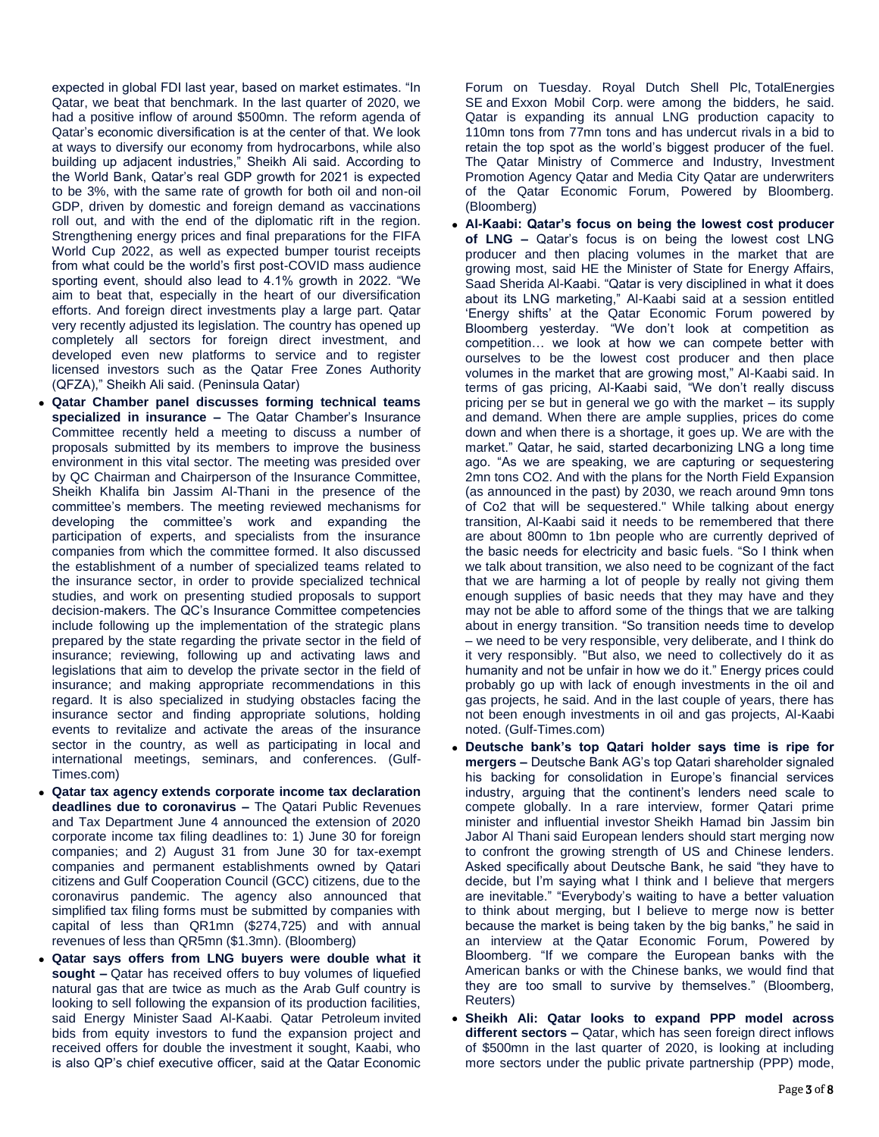expected in global FDI last year, based on market estimates. "In Qatar, we beat that benchmark. In the last quarter of 2020, we had a positive inflow of around \$500mn. The reform agenda of Qatar's economic diversification is at the center of that. We look at ways to diversify our economy from hydrocarbons, while also building up adjacent industries," Sheikh Ali said. According to the World Bank, Qatar's real GDP growth for 2021 is expected to be 3%, with the same rate of growth for both oil and non-oil GDP, driven by domestic and foreign demand as vaccinations roll out, and with the end of the diplomatic rift in the region. Strengthening energy prices and final preparations for the FIFA World Cup 2022, as well as expected bumper tourist receipts from what could be the world's first post-COVID mass audience sporting event, should also lead to 4.1% growth in 2022. "We aim to beat that, especially in the heart of our diversification efforts. And foreign direct investments play a large part. Qatar very recently adjusted its legislation. The country has opened up completely all sectors for foreign direct investment, and developed even new platforms to service and to register licensed investors such as the Qatar Free Zones Authority (QFZA)," Sheikh Ali said. (Peninsula Qatar)

- **Qatar Chamber panel discusses forming technical teams specialized in insurance –** The Qatar Chamber's Insurance Committee recently held a meeting to discuss a number of proposals submitted by its members to improve the business environment in this vital sector. The meeting was presided over by QC Chairman and Chairperson of the Insurance Committee, Sheikh Khalifa bin Jassim Al-Thani in the presence of the committee's members. The meeting reviewed mechanisms for developing the committee's work and expanding the participation of experts, and specialists from the insurance companies from which the committee formed. It also discussed the establishment of a number of specialized teams related to the insurance sector, in order to provide specialized technical studies, and work on presenting studied proposals to support decision-makers. The QC's Insurance Committee competencies include following up the implementation of the strategic plans prepared by the state regarding the private sector in the field of insurance; reviewing, following up and activating laws and legislations that aim to develop the private sector in the field of insurance; and making appropriate recommendations in this regard. It is also specialized in studying obstacles facing the insurance sector and finding appropriate solutions, holding events to revitalize and activate the areas of the insurance sector in the country, as well as participating in local and international meetings, seminars, and conferences. (Gulf-Times.com)
- **Qatar tax agency extends corporate income tax declaration deadlines due to coronavirus –** The Qatari Public Revenues and Tax Department June 4 announced the extension of 2020 corporate income tax filing deadlines to: 1) June 30 for foreign companies; and 2) August 31 from June 30 for tax-exempt companies and permanent establishments owned by Qatari citizens and Gulf Cooperation Council (GCC) citizens, due to the coronavirus pandemic. The agency also announced that simplified tax filing forms must be submitted by companies with capital of less than QR1mn (\$274,725) and with annual revenues of less than QR5mn (\$1.3mn). (Bloomberg)
- **Qatar says offers from LNG buyers were double what it sought –** Qatar has received offers to buy volumes of liquefied natural gas that are twice as much as the Arab Gulf country is looking to sell following the expansion of its production facilities, said Energy Minister Saad Al-Kaabi. Qatar Petroleum invited bids from equity investors to fund the expansion project and received offers for double the investment it sought, Kaabi, who is also QP's chief executive officer, said at the Qatar Economic

Forum on Tuesday. Royal Dutch Shell Plc, TotalEnergies SE and Exxon Mobil Corp. were among the bidders, he said. Qatar is expanding its annual LNG production capacity to 110mn tons from 77mn tons and has undercut rivals in a bid to retain the top spot as the world's biggest producer of the fuel. The Qatar Ministry of Commerce and Industry, Investment Promotion Agency Qatar and Media City Qatar are underwriters of the Qatar Economic Forum, Powered by Bloomberg. (Bloomberg)

- **Al-Kaabi: Qatar's focus on being the lowest cost producer of LNG –** Qatar's focus is on being the lowest cost LNG producer and then placing volumes in the market that are growing most, said HE the Minister of State for Energy Affairs, Saad Sherida Al-Kaabi. "Qatar is very disciplined in what it does about its LNG marketing," Al-Kaabi said at a session entitled 'Energy shifts' at the Qatar Economic Forum powered by Bloomberg yesterday. "We don't look at competition as competition… we look at how we can compete better with ourselves to be the lowest cost producer and then place volumes in the market that are growing most," Al-Kaabi said. In terms of gas pricing, Al-Kaabi said, "We don't really discuss pricing per se but in general we go with the market – its supply and demand. When there are ample supplies, prices do come down and when there is a shortage, it goes up. We are with the market." Qatar, he said, started decarbonizing LNG a long time ago. "As we are speaking, we are capturing or sequestering 2mn tons CO2. And with the plans for the North Field Expansion (as announced in the past) by 2030, we reach around 9mn tons of Co2 that will be sequestered." While talking about energy transition, Al-Kaabi said it needs to be remembered that there are about 800mn to 1bn people who are currently deprived of the basic needs for electricity and basic fuels. "So I think when we talk about transition, we also need to be cognizant of the fact that we are harming a lot of people by really not giving them enough supplies of basic needs that they may have and they may not be able to afford some of the things that we are talking about in energy transition. "So transition needs time to develop – we need to be very responsible, very deliberate, and I think do it very responsibly. "But also, we need to collectively do it as humanity and not be unfair in how we do it." Energy prices could probably go up with lack of enough investments in the oil and gas projects, he said. And in the last couple of years, there has not been enough investments in oil and gas projects, Al-Kaabi noted. (Gulf-Times.com)
- **Deutsche bank's top Qatari holder says time is ripe for mergers –** Deutsche Bank AG's top Qatari shareholder signaled his backing for consolidation in Europe's financial services industry, arguing that the continent's lenders need scale to compete globally. In a rare interview, former Qatari prime minister and influential investor Sheikh Hamad bin Jassim bin Jabor Al Thani said European lenders should start merging now to confront the growing strength of US and Chinese lenders. Asked specifically about Deutsche Bank, he said "they have to decide, but I'm saying what I think and I believe that mergers are inevitable." "Everybody's waiting to have a better valuation to think about merging, but I believe to merge now is better because the market is being taken by the big banks," he said in an interview at the Qatar Economic Forum, Powered by Bloomberg. "If we compare the European banks with the American banks or with the Chinese banks, we would find that they are too small to survive by themselves." (Bloomberg, Reuters)
- **Sheikh Ali: Qatar looks to expand PPP model across different sectors –** Qatar, which has seen foreign direct inflows of \$500mn in the last quarter of 2020, is looking at including more sectors under the public private partnership (PPP) mode,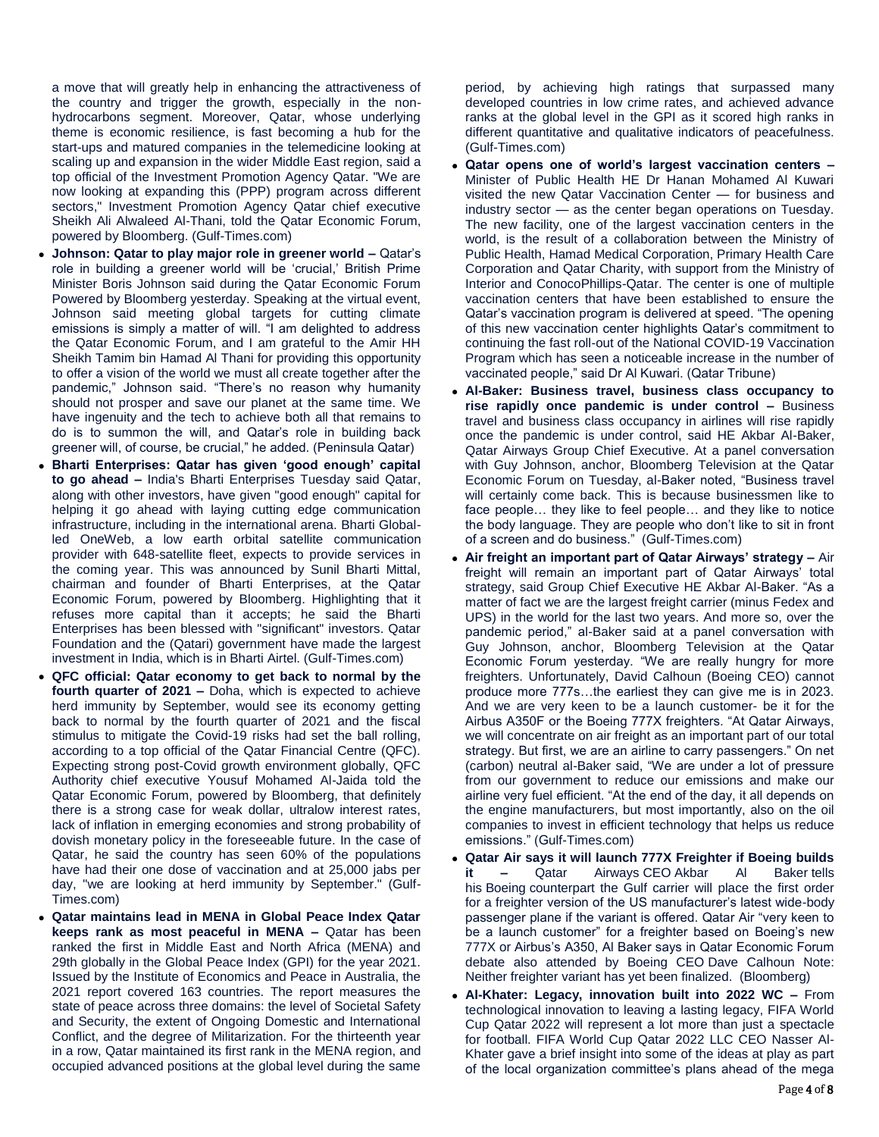a move that will greatly help in enhancing the attractiveness of the country and trigger the growth, especially in the nonhydrocarbons segment. Moreover, Qatar, whose underlying theme is economic resilience, is fast becoming a hub for the start-ups and matured companies in the telemedicine looking at scaling up and expansion in the wider Middle East region, said a top official of the Investment Promotion Agency Qatar. "We are now looking at expanding this (PPP) program across different sectors," Investment Promotion Agency Qatar chief executive Sheikh Ali Alwaleed Al-Thani, told the Qatar Economic Forum, powered by Bloomberg. (Gulf-Times.com)

- **Johnson: Qatar to play major role in greener world –** Qatar's role in building a greener world will be 'crucial,' British Prime Minister Boris Johnson said during the Qatar Economic Forum Powered by Bloomberg yesterday. Speaking at the virtual event, Johnson said meeting global targets for cutting climate emissions is simply a matter of will. "I am delighted to address the Qatar Economic Forum, and I am grateful to the Amir HH Sheikh Tamim bin Hamad Al Thani for providing this opportunity to offer a vision of the world we must all create together after the pandemic," Johnson said. "There's no reason why humanity should not prosper and save our planet at the same time. We have ingenuity and the tech to achieve both all that remains to do is to summon the will, and Qatar's role in building back greener will, of course, be crucial," he added. (Peninsula Qatar)
- **Bharti Enterprises: Qatar has given 'good enough' capital to go ahead –** India's Bharti Enterprises Tuesday said Qatar, along with other investors, have given "good enough" capital for helping it go ahead with laying cutting edge communication infrastructure, including in the international arena. Bharti Globalled OneWeb, a low earth orbital satellite communication provider with 648-satellite fleet, expects to provide services in the coming year. This was announced by Sunil Bharti Mittal, chairman and founder of Bharti Enterprises, at the Qatar Economic Forum, powered by Bloomberg. Highlighting that it refuses more capital than it accepts; he said the Bharti Enterprises has been blessed with "significant" investors. Qatar Foundation and the (Qatari) government have made the largest investment in India, which is in Bharti Airtel. (Gulf-Times.com)
- **QFC official: Qatar economy to get back to normal by the fourth quarter of 2021 –** Doha, which is expected to achieve herd immunity by September, would see its economy getting back to normal by the fourth quarter of 2021 and the fiscal stimulus to mitigate the Covid-19 risks had set the ball rolling, according to a top official of the Qatar Financial Centre (QFC). Expecting strong post-Covid growth environment globally, QFC Authority chief executive Yousuf Mohamed Al-Jaida told the Qatar Economic Forum, powered by Bloomberg, that definitely there is a strong case for weak dollar, ultralow interest rates, lack of inflation in emerging economies and strong probability of dovish monetary policy in the foreseeable future. In the case of Qatar, he said the country has seen 60% of the populations have had their one dose of vaccination and at 25,000 jabs per day, "we are looking at herd immunity by September." (Gulf-Times.com)
- **Qatar maintains lead in MENA in Global Peace Index Qatar keeps rank as most peaceful in MENA –** Qatar has been ranked the first in Middle East and North Africa (MENA) and 29th globally in the Global Peace Index (GPI) for the year 2021. Issued by the Institute of Economics and Peace in Australia, the 2021 report covered 163 countries. The report measures the state of peace across three domains: the level of Societal Safety and Security, the extent of Ongoing Domestic and International Conflict, and the degree of Militarization. For the thirteenth year in a row, Qatar maintained its first rank in the MENA region, and occupied advanced positions at the global level during the same

period, by achieving high ratings that surpassed many developed countries in low crime rates, and achieved advance ranks at the global level in the GPI as it scored high ranks in different quantitative and qualitative indicators of peacefulness. (Gulf-Times.com)

- **Qatar opens one of world's largest vaccination centers –** Minister of Public Health HE Dr Hanan Mohamed Al Kuwari visited the new Qatar Vaccination Center — for business and industry sector — as the center began operations on Tuesday. The new facility, one of the largest vaccination centers in the world, is the result of a collaboration between the Ministry of Public Health, Hamad Medical Corporation, Primary Health Care Corporation and Qatar Charity, with support from the Ministry of Interior and ConocoPhillips-Qatar. The center is one of multiple vaccination centers that have been established to ensure the Qatar's vaccination program is delivered at speed. "The opening of this new vaccination center highlights Qatar's commitment to continuing the fast roll-out of the National COVID-19 Vaccination Program which has seen a noticeable increase in the number of vaccinated people," said Dr Al Kuwari. (Qatar Tribune)
- **Al-Baker: Business travel, business class occupancy to rise rapidly once pandemic is under control –** Business travel and business class occupancy in airlines will rise rapidly once the pandemic is under control, said HE Akbar Al-Baker, Qatar Airways Group Chief Executive. At a panel conversation with Guy Johnson, anchor, Bloomberg Television at the Qatar Economic Forum on Tuesday, al-Baker noted, "Business travel will certainly come back. This is because businessmen like to face people… they like to feel people… and they like to notice the body language. They are people who don't like to sit in front of a screen and do business." (Gulf-Times.com)
- **Air freight an important part of Qatar Airways' strategy –** Air freight will remain an important part of Qatar Airways' total strategy, said Group Chief Executive HE Akbar Al-Baker. "As a matter of fact we are the largest freight carrier (minus Fedex and UPS) in the world for the last two years. And more so, over the pandemic period," al-Baker said at a panel conversation with Guy Johnson, anchor, Bloomberg Television at the Qatar Economic Forum yesterday. "We are really hungry for more freighters. Unfortunately, David Calhoun (Boeing CEO) cannot produce more 777s…the earliest they can give me is in 2023. And we are very keen to be a launch customer- be it for the Airbus A350F or the Boeing 777X freighters. "At Qatar Airways, we will concentrate on air freight as an important part of our total strategy. But first, we are an airline to carry passengers." On net (carbon) neutral al-Baker said, "We are under a lot of pressure from our government to reduce our emissions and make our airline very fuel efficient. "At the end of the day, it all depends on the engine manufacturers, but most importantly, also on the oil companies to invest in efficient technology that helps us reduce emissions." (Gulf-Times.com)
- **Qatar Air says it will launch 777X Freighter if Boeing builds it –** Qatar Airways CEO Akbar Al Baker tells his Boeing counterpart the Gulf carrier will place the first order for a freighter version of the US manufacturer's latest wide-body passenger plane if the variant is offered. Qatar Air "very keen to be a launch customer" for a freighter based on Boeing's new 777X or Airbus's A350, Al Baker says in Qatar Economic Forum debate also attended by Boeing CEO Dave Calhoun Note: Neither freighter variant has yet been finalized. (Bloomberg)
- **Al-Khater: Legacy, innovation built into 2022 WC –** From technological innovation to leaving a lasting legacy, FIFA World Cup Qatar 2022 will represent a lot more than just a spectacle for football. FIFA World Cup Qatar 2022 LLC CEO Nasser Al-Khater gave a brief insight into some of the ideas at play as part of the local organization committee's plans ahead of the mega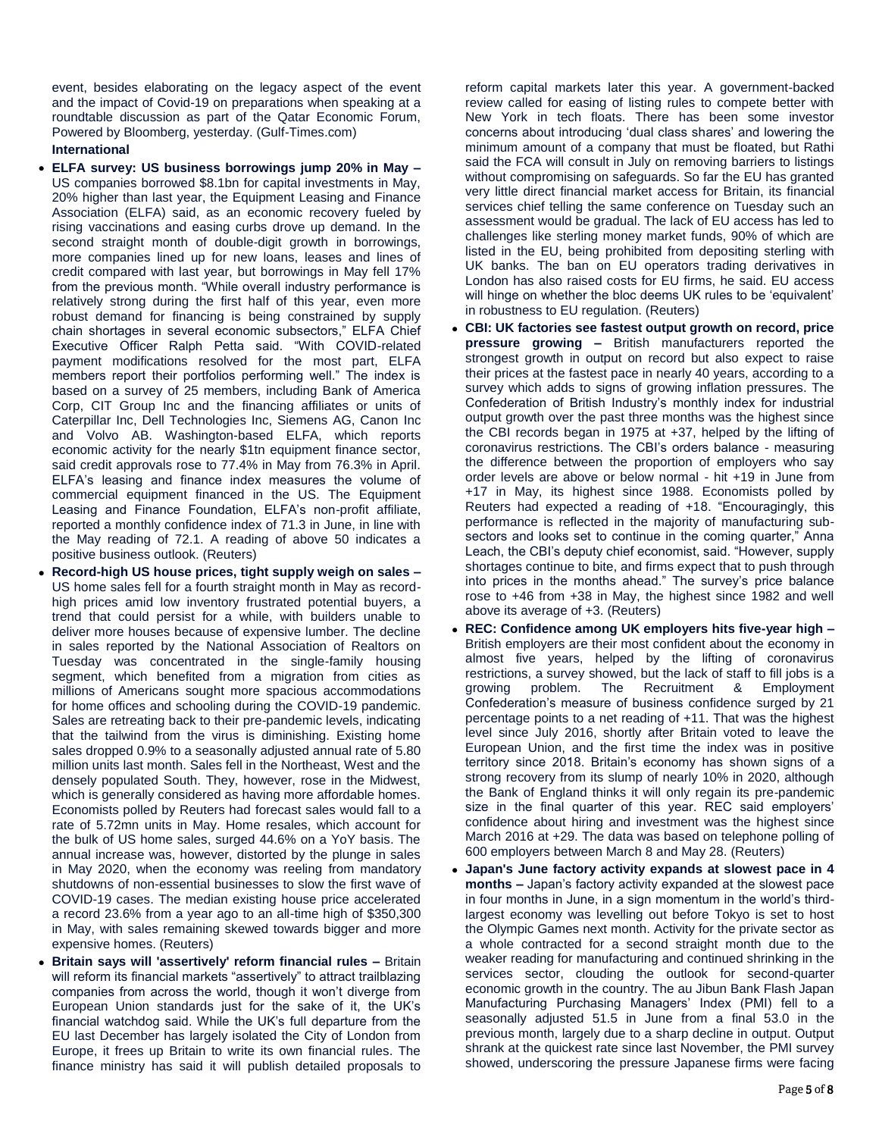event, besides elaborating on the legacy aspect of the event and the impact of Covid-19 on preparations when speaking at a roundtable discussion as part of the Qatar Economic Forum, Powered by Bloomberg, yesterday. (Gulf-Times.com)

# **International**

- **ELFA survey: US business borrowings jump 20% in May –** US companies borrowed \$8.1bn for capital investments in May, 20% higher than last year, the Equipment Leasing and Finance Association (ELFA) said, as an economic recovery fueled by rising vaccinations and easing curbs drove up demand. In the second straight month of double-digit growth in borrowings, more companies lined up for new loans, leases and lines of credit compared with last year, but borrowings in May fell 17% from the previous month. "While overall industry performance is relatively strong during the first half of this year, even more robust demand for financing is being constrained by supply chain shortages in several economic subsectors," ELFA Chief Executive Officer Ralph Petta said. "With COVID-related payment modifications resolved for the most part, ELFA members report their portfolios performing well." The index is based on a survey of 25 members, including Bank of America Corp, CIT Group Inc and the financing affiliates or units of Caterpillar Inc, Dell Technologies Inc, Siemens AG, Canon Inc and Volvo AB. Washington-based ELFA, which reports economic activity for the nearly \$1tn equipment finance sector, said credit approvals rose to 77.4% in May from 76.3% in April. ELFA's leasing and finance index measures the volume of commercial equipment financed in the US. The Equipment Leasing and Finance Foundation, ELFA's non-profit affiliate, reported a monthly confidence index of 71.3 in June, in line with the May reading of 72.1. A reading of above 50 indicates a positive business outlook. (Reuters)
- **Record-high US house prices, tight supply weigh on sales –** US home sales fell for a fourth straight month in May as recordhigh prices amid low inventory frustrated potential buyers, a trend that could persist for a while, with builders unable to deliver more houses because of expensive lumber. The decline in sales reported by the National Association of Realtors on Tuesday was concentrated in the single-family housing segment, which benefited from a migration from cities as millions of Americans sought more spacious accommodations for home offices and schooling during the COVID-19 pandemic. Sales are retreating back to their pre-pandemic levels, indicating that the tailwind from the virus is diminishing. Existing home sales dropped 0.9% to a seasonally adjusted annual rate of 5.80 million units last month. Sales fell in the Northeast, West and the densely populated South. They, however, rose in the Midwest, which is generally considered as having more affordable homes. Economists polled by Reuters had forecast sales would fall to a rate of 5.72mn units in May. Home resales, which account for the bulk of US home sales, surged 44.6% on a YoY basis. The annual increase was, however, distorted by the plunge in sales in May 2020, when the economy was reeling from mandatory shutdowns of non-essential businesses to slow the first wave of COVID-19 cases. The median existing house price accelerated a record 23.6% from a year ago to an all-time high of \$350,300 in May, with sales remaining skewed towards bigger and more expensive homes. (Reuters)
- **Britain says will 'assertively' reform financial rules –** Britain will reform its financial markets "assertively" to attract trailblazing companies from across the world, though it won't diverge from European Union standards just for the sake of it, the UK's financial watchdog said. While the UK's full departure from the EU last December has largely isolated the City of London from Europe, it frees up Britain to write its own financial rules. The finance ministry has said it will publish detailed proposals to

reform capital markets later this year. A government-backed review called for easing of listing rules to compete better with New York in tech floats. There has been some investor concerns about introducing 'dual class shares' and lowering the minimum amount of a company that must be floated, but Rathi said the FCA will consult in July on removing barriers to listings without compromising on safeguards. So far the EU has granted very little direct financial market access for Britain, its financial services chief telling the same conference on Tuesday such an assessment would be gradual. The lack of EU access has led to challenges like sterling money market funds, 90% of which are listed in the EU, being prohibited from depositing sterling with UK banks. The ban on EU operators trading derivatives in London has also raised costs for EU firms, he said. EU access will hinge on whether the bloc deems UK rules to be 'equivalent' in robustness to EU regulation. (Reuters)

- **CBI: UK factories see fastest output growth on record, price pressure growing –** British manufacturers reported the strongest growth in output on record but also expect to raise their prices at the fastest pace in nearly 40 years, according to a survey which adds to signs of growing inflation pressures. The Confederation of British Industry's monthly index for industrial output growth over the past three months was the highest since the CBI records began in 1975 at +37, helped by the lifting of coronavirus restrictions. The CBI's orders balance - measuring the difference between the proportion of employers who say order levels are above or below normal - hit +19 in June from +17 in May, its highest since 1988. Economists polled by Reuters had expected a reading of +18. "Encouragingly, this performance is reflected in the majority of manufacturing subsectors and looks set to continue in the coming quarter," Anna Leach, the CBI's deputy chief economist, said. "However, supply shortages continue to bite, and firms expect that to push through into prices in the months ahead." The survey's price balance rose to +46 from +38 in May, the highest since 1982 and well above its average of +3. (Reuters)
- **REC: Confidence among UK employers hits five-year high –** British employers are their most confident about the economy in almost five years, helped by the lifting of coronavirus restrictions, a survey showed, but the lack of staff to fill jobs is a growing problem. The Recruitment & Employment Confederation's measure of business confidence surged by 21 percentage points to a net reading of +11. That was the highest level since July 2016, shortly after Britain voted to leave the European Union, and the first time the index was in positive territory since 2018. Britain's economy has shown signs of a strong recovery from its slump of nearly 10% in 2020, although the Bank of England thinks it will only regain its pre-pandemic size in the final quarter of this year. REC said employers' confidence about hiring and investment was the highest since March 2016 at +29. The data was based on telephone polling of 600 employers between March 8 and May 28. (Reuters)
- **Japan's June factory activity expands at slowest pace in 4 months –** Japan's factory activity expanded at the slowest pace in four months in June, in a sign momentum in the world's thirdlargest economy was levelling out before Tokyo is set to host the Olympic Games next month. Activity for the private sector as a whole contracted for a second straight month due to the weaker reading for manufacturing and continued shrinking in the services sector, clouding the outlook for second-quarter economic growth in the country. The au Jibun Bank Flash Japan Manufacturing Purchasing Managers' Index (PMI) fell to a seasonally adjusted 51.5 in June from a final 53.0 in the previous month, largely due to a sharp decline in output. Output shrank at the quickest rate since last November, the PMI survey showed, underscoring the pressure Japanese firms were facing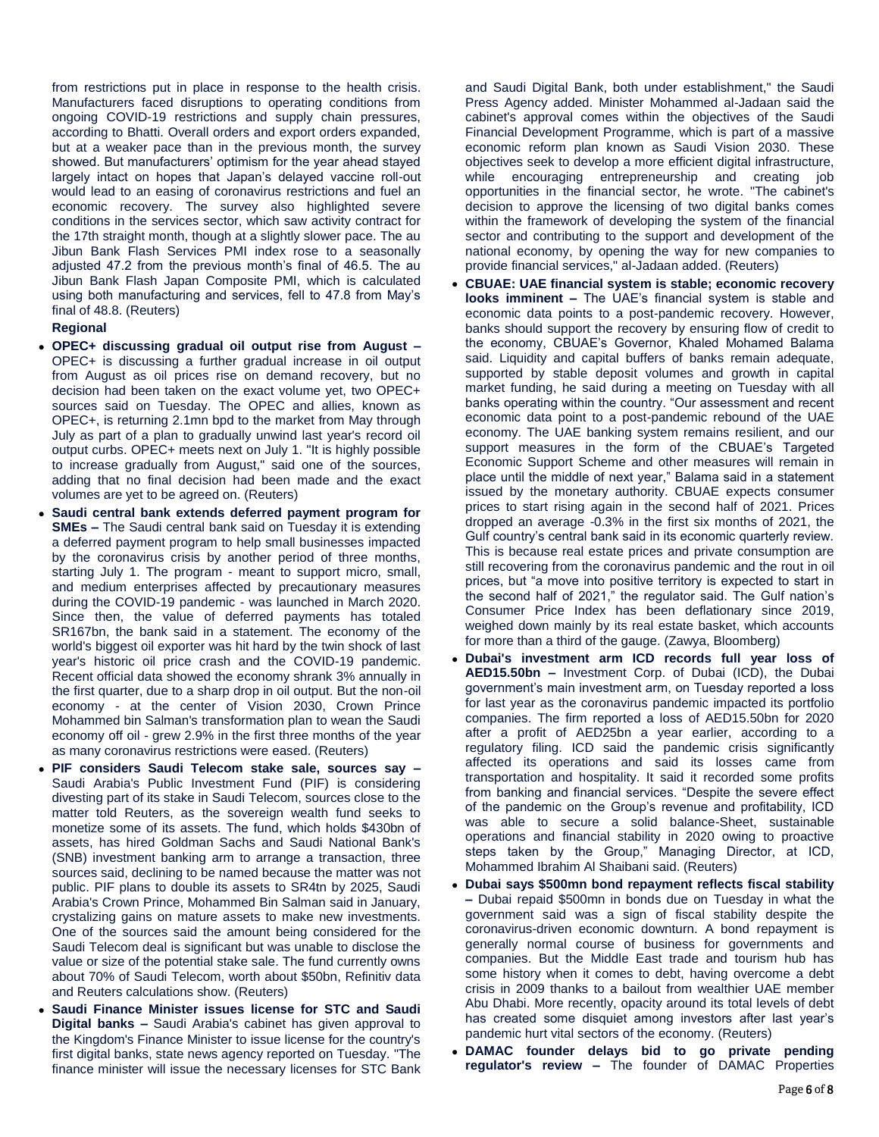from restrictions put in place in response to the health crisis. Manufacturers faced disruptions to operating conditions from ongoing COVID-19 restrictions and supply chain pressures, according to Bhatti. Overall orders and export orders expanded, but at a weaker pace than in the previous month, the survey showed. But manufacturers' optimism for the year ahead stayed largely intact on hopes that Japan's delayed vaccine roll-out would lead to an easing of coronavirus restrictions and fuel an economic recovery. The survey also highlighted severe conditions in the services sector, which saw activity contract for the 17th straight month, though at a slightly slower pace. The au Jibun Bank Flash Services PMI index rose to a seasonally adjusted 47.2 from the previous month's final of 46.5. The au Jibun Bank Flash Japan Composite PMI, which is calculated using both manufacturing and services, fell to 47.8 from May's final of 48.8. (Reuters)

# **Regional**

- **OPEC+ discussing gradual oil output rise from August –** OPEC+ is discussing a further gradual increase in oil output from August as oil prices rise on demand recovery, but no decision had been taken on the exact volume yet, two OPEC+ sources said on Tuesday. The OPEC and allies, known as OPEC+, is returning 2.1mn bpd to the market from May through July as part of a plan to gradually unwind last year's record oil output curbs. OPEC+ meets next on July 1. "It is highly possible to increase gradually from August," said one of the sources, adding that no final decision had been made and the exact volumes are yet to be agreed on. (Reuters)
- **Saudi central bank extends deferred payment program for SMEs –** The Saudi central bank said on Tuesday it is extending a deferred payment program to help small businesses impacted by the coronavirus crisis by another period of three months, starting July 1. The program - meant to support micro, small, and medium enterprises affected by precautionary measures during the COVID-19 pandemic - was launched in March 2020. Since then, the value of deferred payments has totaled SR167bn, the bank said in a statement. The economy of the world's biggest oil exporter was hit hard by the twin shock of last year's historic oil price crash and the COVID-19 pandemic. Recent official data showed the economy shrank 3% annually in the first quarter, due to a sharp drop in oil output. But the non-oil economy - at the center of Vision 2030, Crown Prince Mohammed bin Salman's transformation plan to wean the Saudi economy off oil - grew 2.9% in the first three months of the year as many coronavirus restrictions were eased. (Reuters)
- **PIF considers Saudi Telecom stake sale, sources say –** Saudi Arabia's Public Investment Fund (PIF) is considering divesting part of its stake in Saudi Telecom, sources close to the matter told Reuters, as the sovereign wealth fund seeks to monetize some of its assets. The fund, which holds \$430bn of assets, has hired Goldman Sachs and Saudi National Bank's (SNB) investment banking arm to arrange a transaction, three sources said, declining to be named because the matter was not public. PIF plans to double its assets to SR4tn by 2025, Saudi Arabia's Crown Prince, Mohammed Bin Salman said in January, crystalizing gains on mature assets to make new investments. One of the sources said the amount being considered for the Saudi Telecom deal is significant but was unable to disclose the value or size of the potential stake sale. The fund currently owns about 70% of Saudi Telecom, worth about \$50bn, Refinitiv data and Reuters calculations show. (Reuters)
- **Saudi Finance Minister issues license for STC and Saudi Digital banks –** Saudi Arabia's cabinet has given approval to the Kingdom's Finance Minister to issue license for the country's first digital banks, state news agency reported on Tuesday. "The finance minister will issue the necessary licenses for STC Bank

and Saudi Digital Bank, both under establishment," the Saudi Press Agency added. Minister Mohammed al-Jadaan said the cabinet's approval comes within the objectives of the Saudi Financial Development Programme, which is part of a massive economic reform plan known as Saudi Vision 2030. These objectives seek to develop a more efficient digital infrastructure, while encouraging entrepreneurship and creating job opportunities in the financial sector, he wrote. "The cabinet's decision to approve the licensing of two digital banks comes within the framework of developing the system of the financial sector and contributing to the support and development of the national economy, by opening the way for new companies to provide financial services," al-Jadaan added. (Reuters)

- **CBUAE: UAE financial system is stable; economic recovery looks imminent –** The UAE's financial system is stable and economic data points to a post-pandemic recovery. However, banks should support the recovery by ensuring flow of credit to the economy, CBUAE's Governor, Khaled Mohamed Balama said. Liquidity and capital buffers of banks remain adequate, supported by stable deposit volumes and growth in capital market funding, he said during a meeting on Tuesday with all banks operating within the country. "Our assessment and recent economic data point to a post-pandemic rebound of the UAE economy. The UAE banking system remains resilient, and our support measures in the form of the CBUAE's Targeted Economic Support Scheme and other measures will remain in place until the middle of next year," Balama said in a statement issued by the monetary authority. CBUAE expects consumer prices to start rising again in the second half of 2021. Prices dropped an average -0.3% in the first six months of 2021, the Gulf country's central bank said in its economic quarterly review. This is because real estate prices and private consumption are still recovering from the coronavirus pandemic and the rout in oil prices, but "a move into positive territory is expected to start in the second half of 2021," the regulator said. The Gulf nation's Consumer Price Index has been deflationary since 2019, weighed down mainly by its real estate basket, which accounts for more than a third of the gauge. (Zawya, Bloomberg)
- **Dubai's investment arm ICD records full year loss of AED15.50bn –** Investment Corp. of Dubai (ICD), the Dubai government's main investment arm, on Tuesday reported a loss for last year as the coronavirus pandemic impacted its portfolio companies. The firm reported a loss of AED15.50bn for 2020 after a profit of AED25bn a year earlier, according to a regulatory filing. ICD said the pandemic crisis significantly affected its operations and said its losses came from transportation and hospitality. It said it recorded some profits from banking and financial services. "Despite the severe effect of the pandemic on the Group's revenue and profitability, ICD was able to secure a solid balance-Sheet, sustainable operations and financial stability in 2020 owing to proactive steps taken by the Group," Managing Director, at ICD, Mohammed Ibrahim Al Shaibani said. (Reuters)
- **Dubai says \$500mn bond repayment reflects fiscal stability –** Dubai repaid \$500mn in bonds due on Tuesday in what the government said was a sign of fiscal stability despite the coronavirus-driven economic downturn. A bond repayment is generally normal course of business for governments and companies. But the Middle East trade and tourism hub has some history when it comes to debt, having overcome a debt crisis in 2009 thanks to a bailout from wealthier UAE member Abu Dhabi. More recently, opacity around its total levels of debt has created some disquiet among investors after last year's pandemic hurt vital sectors of the economy. (Reuters)
- **DAMAC founder delays bid to go private pending regulator's review –** The founder of DAMAC Properties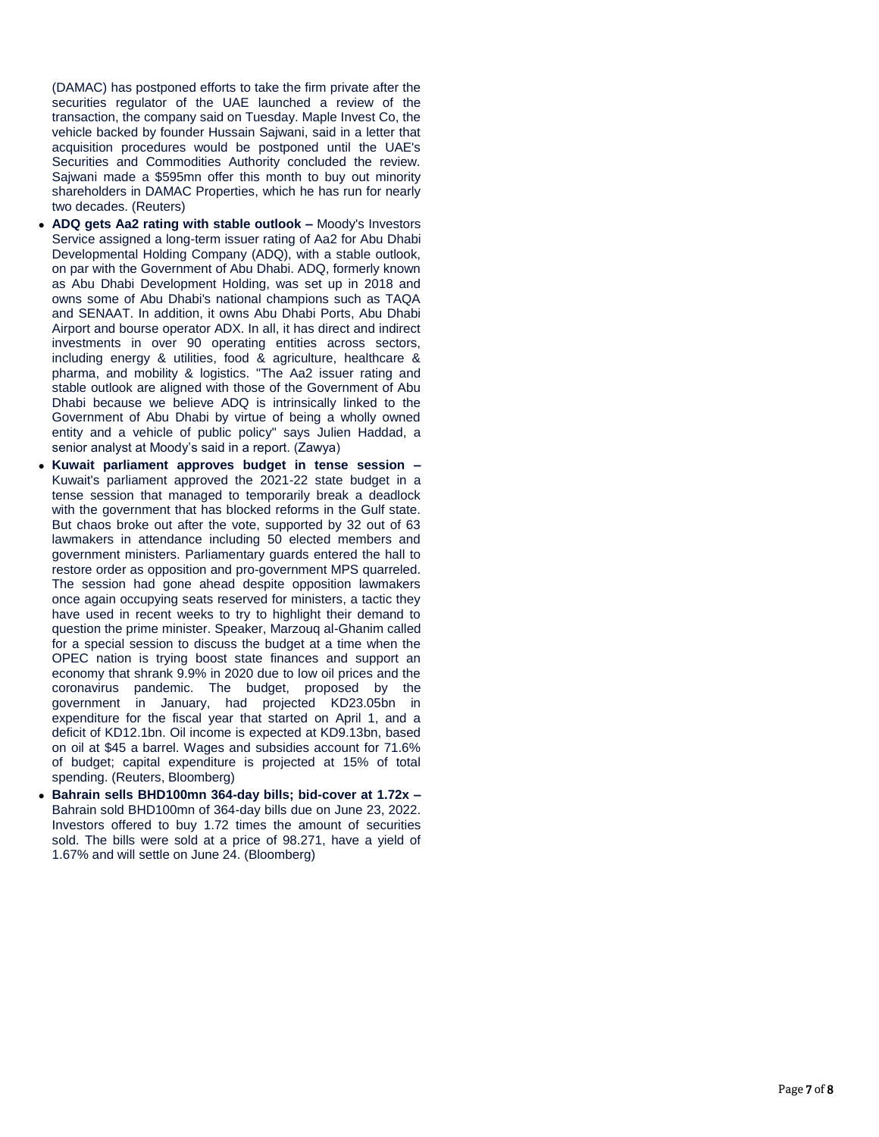(DAMAC) has postponed efforts to take the firm private after the securities regulator of the UAE launched a review of the transaction, the company said on Tuesday. Maple Invest Co, the vehicle backed by founder Hussain Sajwani, said in a letter that acquisition procedures would be postponed until the UAE's Securities and Commodities Authority concluded the review. Sajwani made a \$595mn offer this month to buy out minority shareholders in DAMAC Properties, which he has run for nearly two decades. (Reuters)

- **ADQ gets Aa2 rating with stable outlook –** Moody's Investors Service assigned a long-term issuer rating of Aa2 for Abu Dhabi Developmental Holding Company (ADQ), with a stable outlook, on par with the Government of Abu Dhabi. ADQ, formerly known as Abu Dhabi Development Holding, was set up in 2018 and owns some of Abu Dhabi's national champions such as TAQA and SENAAT. In addition, it owns Abu Dhabi Ports, Abu Dhabi Airport and bourse operator ADX. In all, it has direct and indirect investments in over 90 operating entities across sectors, including energy & utilities, food & agriculture, healthcare & pharma, and mobility & logistics. "The Aa2 issuer rating and stable outlook are aligned with those of the Government of Abu Dhabi because we believe ADQ is intrinsically linked to the Government of Abu Dhabi by virtue of being a wholly owned entity and a vehicle of public policy" says Julien Haddad, a senior analyst at Moody's said in a report. (Zawya)
- **Kuwait parliament approves budget in tense session –** Kuwait's parliament approved the 2021 -22 state budget in a tense session that managed to temporarily break a deadlock with the government that has blocked reforms in the Gulf state. But chaos broke out after the vote, supported by 32 out of 63 lawmakers in attendance including 50 elected members and government ministers. Parliamentary guards entered the hall to restore order as opposition and pro -government MPS quarreled. The session had gone ahead despite opposition lawmakers once again occupying seats reserved for ministers, a tactic they have used in recent weeks to try to highlight their demand to question the prime minister. Speaker, Marzouq al -Ghanim called for a special session to discuss the budget at a time when the OPEC nation is trying boost state finances and support an economy that shrank 9.9% in 2020 due to low oil prices and the coronavirus pandemic. The budget, proposed by the government in January, had projected KD23.05bn in expenditure for the fiscal year that started on April 1, and a deficit of KD12.1bn. Oil income is expected at KD9.13bn, based on oil at \$45 a barrel. Wages and subsidies account for 71.6% of budget; capital expenditure is projected at 15% of total spending. (Reuters, Bloomberg)
- **Bahrain sells BHD100mn 364-day bills; bid-cover at 1.72x -**Bahrain sold BHD100mn of 364 -day bills due on June 23, 2022. Investors offered to buy 1.72 times the amount of securities sold. The bills were sold at a price of 98.271, have a yield of 1.67% and will settle on June 24. (Bloomberg)